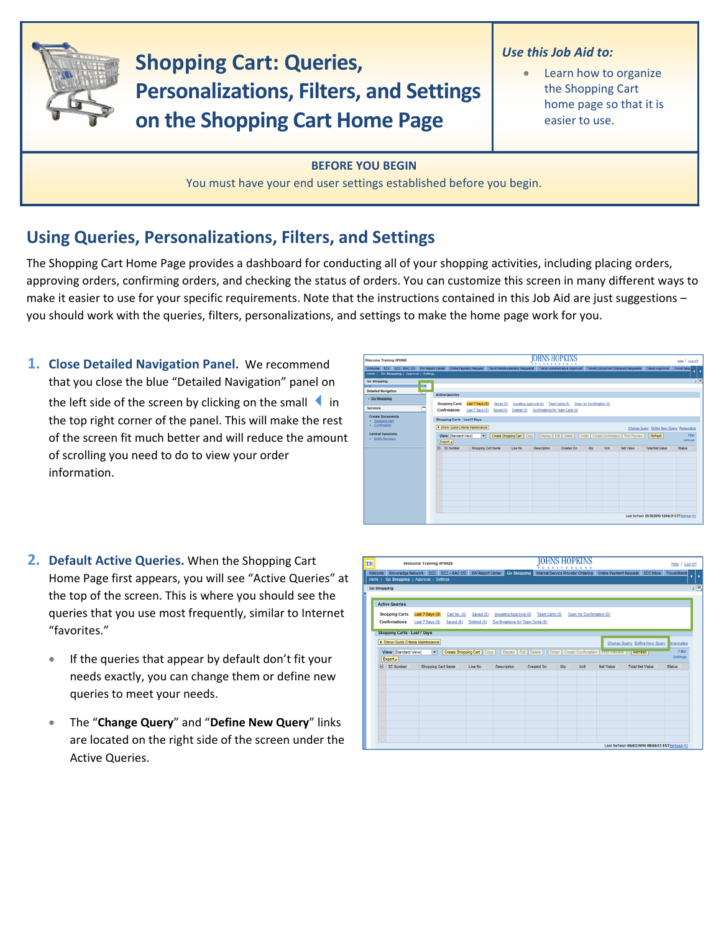

**Shopping Cart: Queries, Personalizations, Filters, and Settings on the Shopping Cart Home Page**

## *Use this Job Aid to:*

Learn how to organize the Shopping Cart home page so that it is easier to use.

**BEFORE YOU BEGIN** You must have your end user settings established before you begin.

## **Using Queries, Personalizations, Filters, and Settings**

The Shopping Cart Home Page provides a dashboard for conducting all of your shopping activities, including placing orders, approving orders, confirming orders, and checking the status of orders. You can customize this screen in many different ways to make it easier to use for your specific requirements. Note that the instructions contained in this Job Aid are just suggestions – you should work with the queries, filters, personalizations, and settings to make the home page work for you.

**1. Close Detailed Navigation Panel.** We recommend that you close the blue "Detailed Navigation" panel on the left side of the screen by clicking on the small  $\blacksquare$  in the top right corner of the panel. This will make the rest of the screen fit much better and will reduce the amount of scrolling you need to do to view your order information.

| Welcome Training UPUR60                                                                                                                                                                                                                                           |                                                                                                                                                                         |                                                              |                       | OHNS HOPKINS<br><b>XXTITETIOXX</b>           |                |                           |      |                  |                                                 | Help   Log.off |  |
|-------------------------------------------------------------------------------------------------------------------------------------------------------------------------------------------------------------------------------------------------------------------|-------------------------------------------------------------------------------------------------------------------------------------------------------------------------|--------------------------------------------------------------|-----------------------|----------------------------------------------|----------------|---------------------------|------|------------------|-------------------------------------------------|----------------|--|
| Welcome ECC ECC - MAC OS BW Report Center Online Payment Request Travel Reimbursement Requester Travel Administrative Approver Travel Concurrent Employed Requester Travel Approver Travel Approver Travel Approver<br>Alerts   Go Shopping   Approval   Settings |                                                                                                                                                                         |                                                              |                       |                                              |                |                           |      |                  |                                                 |                |  |
| Go Shopping<br><b>STAT</b><br>- 4<br>÷<br><b>Detailed Navigation</b><br>· Go Shopping<br><b>Services</b><br><b>Create Documents</b><br>Shopping Cart<br>Confirmation                                                                                              | <b>Active Queries</b><br><b>Shopping Carts</b><br>Confirmations<br>Shopping Carts - Last 7 Days<br>> Show Quick Criteria Maintenance                                    | Last 7 Days (0)<br>Saved (0)<br>Last 7 Days (0)<br>Saved (0) | Awalting Approval (0) | Deleted (0) Confirmations for Team Carts (0) | Team Carts (0) | Open for Confirmation (0) |      |                  | Change Query Define New Query Personalize       | E.             |  |
| <b>Central Functions</b><br>· Notify Recipient                                                                                                                                                                                                                    | Create Shopping Cart   Copy     Display   Edit   Delete     Order   Create Confirmation   Print Preview<br>View Standard View)<br>Refresh<br>$\blacksquare$<br>Export a |                                                              |                       |                                              |                |                           |      |                  |                                                 |                |  |
|                                                                                                                                                                                                                                                                   | <b>E</b> SC Number                                                                                                                                                      | <b>Shopping Cart Name</b>                                    | Line No.              | <b>Description</b>                           | Created On     | Oty                       | Unit | <b>Net Value</b> | <b>Total Net Value</b>                          | Status         |  |
|                                                                                                                                                                                                                                                                   |                                                                                                                                                                         |                                                              |                       |                                              |                |                           |      |                  | Last Refresh 03/30/2010 12:04:31 EST Refresh FG |                |  |

- **2. Default Active Queries.** When the Shopping Cart Home Page first appears, you will see "Active Queries" at the top of the screen. This is where you should see the queries that you use most frequently, similar to Internet "favorites."
	- If the queries that appear by default don't fit your needs exactly, you can change them or define new queries to meet your needs.
	- The "**Change Query**" and "**Define New Query**" links are located on the right side of the screen under the Active Queries.

| <b>TR</b>                                                                | Welcome Training UPUR29                                         |                                                                                                                  |                                                           |                | <b>IOHNS HOPKINS</b>      |                  |                                                | Help   Log off    |  |  |
|--------------------------------------------------------------------------|-----------------------------------------------------------------|------------------------------------------------------------------------------------------------------------------|-----------------------------------------------------------|----------------|---------------------------|------------------|------------------------------------------------|-------------------|--|--|
| Alerts   Go Shopping   Approval   Settings                               | Welcome Knowledge Network ECC ECC - MAC OS BW Report Center     |                                                                                                                  | <b>Go Shopping</b>                                        |                |                           |                  |                                                |                   |  |  |
| <b>Go Shopping</b>                                                       |                                                                 |                                                                                                                  |                                                           |                |                           |                  |                                                | 1回                |  |  |
| <b>Active Queries</b>                                                    |                                                                 |                                                                                                                  |                                                           |                |                           |                  |                                                |                   |  |  |
| <b>Shopping Carts</b><br>Confirmations                                   | Last 7 Days (0)<br>Cart No. (0)<br>Last 7 Days (0)<br>Saved (0) | Saved (0)<br>Deleted (0)                                                                                         | Awaiting Approval (0)<br>Confirmations for Team Carts (0) | Team Carts (0) | Open for Confirmation (0) |                  |                                                |                   |  |  |
| <b>Shopping Carts - Last 7 Days</b><br>> Show Quick Criteria Maintenance |                                                                 |                                                                                                                  |                                                           |                |                           |                  |                                                |                   |  |  |
| View [Standard View]<br>Export a                                         | $\overline{\mathbf{r}}$                                         | Create Shopping Cart   Copy   Display   Edt   Delete     Order   Create Confirmation   Print Preview     Refresh |                                                           |                |                           |                  | Change Query Define New Query Personalize      | Fiber<br>Settings |  |  |
| <b>SC Number</b><br>$\mathbb{R}$                                         | Shopping Cart Name                                              | Line No.                                                                                                         | Description                                               | Created On     | Oty<br>Unit               | <b>Net Value</b> | <b>Total Net Value</b>                         | Status            |  |  |
|                                                                          |                                                                 |                                                                                                                  |                                                           |                |                           |                  |                                                |                   |  |  |
|                                                                          |                                                                 |                                                                                                                  |                                                           |                |                           |                  |                                                |                   |  |  |
|                                                                          |                                                                 |                                                                                                                  |                                                           |                |                           |                  |                                                |                   |  |  |
|                                                                          |                                                                 |                                                                                                                  |                                                           |                |                           |                  |                                                |                   |  |  |
|                                                                          |                                                                 |                                                                                                                  |                                                           |                |                           |                  |                                                |                   |  |  |
|                                                                          |                                                                 |                                                                                                                  |                                                           |                |                           |                  | Last Refresh 05/03/2010 08:55:13 ESTRefresh F3 |                   |  |  |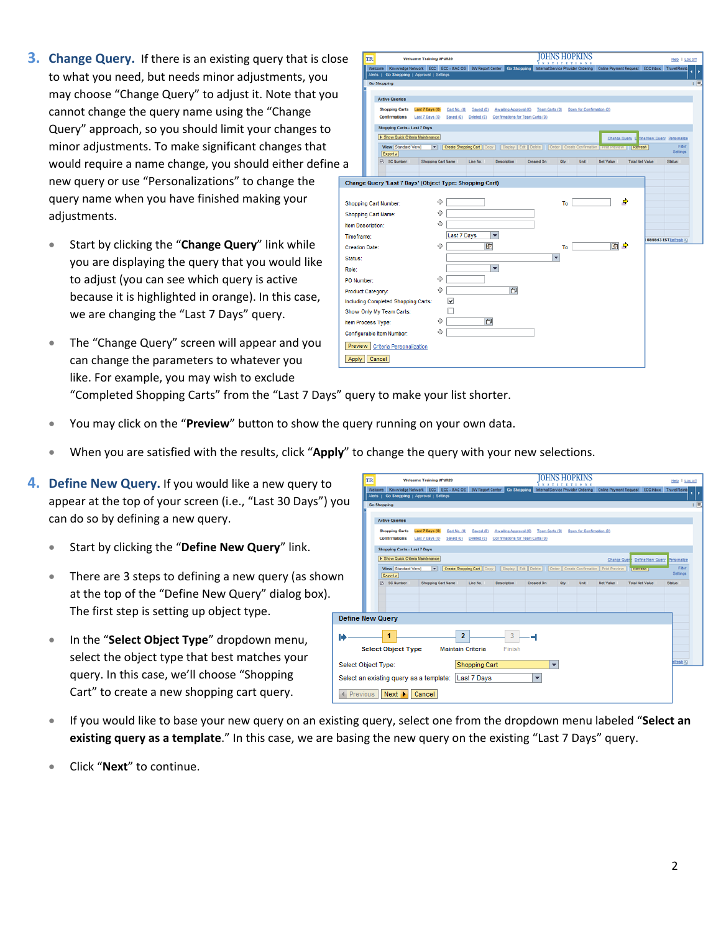- **3. Change Query.** If there is an existing query that is close to what you need, but needs minor adjustments, you may choose "Change Query" to adjust it. Note that yo cannot change the query name using the "Change Query" approach, so you should limit your changes to minor adjustments. To make significant changes that would require a name change, you should either define new query or use "Personalizations" to change the query name when you have finished making your adjustments.
	- Start by clicking the "**Change Query**" link while you are displaying the query that you would like to adjust (you can see which query is active because it is highlighted in orange). In this case, we are changing the "Last 7 Days" query.
	- The "Change Query" screen will appear and you can change the parameters to whatever you like. For example, you may wish to exclude

| ose                   | TR<br><b>Welcome Training UPUR29</b>                                                                                                                                                                   |                    |                                                                                                                      |                                                                | <b>HOPKINS</b>           |                  |                                           | Help   Log off         |
|-----------------------|--------------------------------------------------------------------------------------------------------------------------------------------------------------------------------------------------------|--------------------|----------------------------------------------------------------------------------------------------------------------|----------------------------------------------------------------|--------------------------|------------------|-------------------------------------------|------------------------|
|                       | Welcome Knowledge Network ECC ECC - MAC OS BW Report Center Co Shopping Internal Service Provider Ordering Online Payment Request ECC Inbox Travel Reimb<br>Alerts   Go Shopping   Approval   Settings |                    |                                                                                                                      |                                                                |                          |                  |                                           |                        |
|                       | <b>Go Shopping</b>                                                                                                                                                                                     |                    |                                                                                                                      |                                                                |                          |                  |                                           | $\Box$                 |
|                       |                                                                                                                                                                                                        |                    |                                                                                                                      |                                                                |                          |                  |                                           |                        |
| ١u                    | <b>Active Queries</b>                                                                                                                                                                                  |                    |                                                                                                                      |                                                                |                          |                  |                                           |                        |
|                       | <b>Shopping Carts</b><br>Last 7 Days (0)<br><b>Confirmations</b>                                                                                                                                       | Cart No. (0)       | Saved (0)<br>Last 7 Days (0) Saved (0) Deleted (0) Confirmations for Team Carts (0)                                  | Awaiting Approval (0) Team Carts (0) Open for Confirmation (0) |                          |                  |                                           |                        |
|                       | Shopping Carts - Last 7 Days                                                                                                                                                                           |                    |                                                                                                                      |                                                                |                          |                  |                                           |                        |
|                       | F Show Quick Criteria Maintenance                                                                                                                                                                      |                    |                                                                                                                      |                                                                |                          |                  | Change Query D fine New Query Personalize |                        |
|                       | View [Standard View]<br>Export a                                                                                                                                                                       |                    | Create Shopping Cart   Copy     Display   Edt   Delete     Order   Create Confirmation   Prest Preview       Refresh |                                                                |                          |                  |                                           | Fiter<br>Settings      |
| າe a                  | <b>B.</b> SC Number                                                                                                                                                                                    | Shopping Cart Name | Line No.<br>Description                                                                                              | Created On                                                     | Unit<br><b>Oby</b>       | <b>Net Value</b> | <b>Total Net Value</b>                    | <b>Status</b>          |
|                       |                                                                                                                                                                                                        |                    |                                                                                                                      |                                                                |                          |                  |                                           |                        |
|                       | Change Query 'Last 7 Days' (Object Type: Shopping Cart)                                                                                                                                                |                    |                                                                                                                      |                                                                |                          |                  |                                           |                        |
|                       |                                                                                                                                                                                                        |                    |                                                                                                                      |                                                                |                          |                  |                                           |                        |
|                       | Shopping Cart Number:                                                                                                                                                                                  | ♦                  |                                                                                                                      |                                                                | To                       |                  | $\Rightarrow$                             |                        |
|                       | <b>Shopping Cart Name:</b>                                                                                                                                                                             | ♦                  |                                                                                                                      |                                                                |                          |                  |                                           |                        |
| Item Description:     |                                                                                                                                                                                                        | ◇                  |                                                                                                                      |                                                                |                          |                  |                                           |                        |
| Time frame:           |                                                                                                                                                                                                        | <b>Last 7 Days</b> | $\overline{\phantom{0}}$                                                                                             |                                                                |                          |                  |                                           | 08:55:13 ESTRefresh P3 |
| <b>Creation Date:</b> |                                                                                                                                                                                                        | ◇                  | 匝                                                                                                                    |                                                                | To                       | ■ ●              |                                           |                        |
| Status:               |                                                                                                                                                                                                        |                    |                                                                                                                      |                                                                | $\overline{\phantom{a}}$ |                  |                                           |                        |
| Role:                 |                                                                                                                                                                                                        |                    | $\blacktriangledown$                                                                                                 |                                                                |                          |                  |                                           |                        |
| PO Number:            |                                                                                                                                                                                                        | ♦                  |                                                                                                                      |                                                                |                          |                  |                                           |                        |
|                       | Product Category:                                                                                                                                                                                      | ♦                  | <b>F</b>                                                                                                             |                                                                |                          |                  |                                           |                        |
|                       | Including Completed Shopping Carts:                                                                                                                                                                    | ⊽                  |                                                                                                                      |                                                                |                          |                  |                                           |                        |
|                       | Show Only My Team Carts:                                                                                                                                                                               |                    |                                                                                                                      |                                                                |                          |                  |                                           |                        |
|                       | Item Process Type:                                                                                                                                                                                     | ♦                  | O                                                                                                                    |                                                                |                          |                  |                                           |                        |
|                       | Configurable Item Number:                                                                                                                                                                              | ♦                  |                                                                                                                      |                                                                |                          |                  |                                           |                        |
|                       | Preview   Criteria Personalization                                                                                                                                                                     |                    |                                                                                                                      |                                                                |                          |                  |                                           |                        |
| Apply                 | Cancel                                                                                                                                                                                                 |                    |                                                                                                                      |                                                                |                          |                  |                                           |                        |

"Completed Shopping Carts" from the "Last 7 Days" query to make your list shorter.

- You may click on the "**Preview**" button to show the query running on your own data.
- When you are satisfied with the results, click "**Apply**" to change the query with your new selections.
- **4. Define New Query.** If you would like a new query to appear at the top of your screen (i.e., "Last 30 Days")  $y_1$ can do so by defining a new query.
	- Start by clicking the "**Define New Query**" link.
	- There are 3 steps to defining a new query (as show at the top of the "Define New Query" dialog box). The first step is setting up object type.
	- In the "**Select Object Type**" dropdown menu, select the object type that best matches your query. In this case, we'll choose "Shopping Cart" to create a new shopping cart query.

| <b>TR</b> | Welcome Training UPUR29                                                                                   |                               |                                                                                                         |                                                           |                |     |                           |             |                              |                      |
|-----------|-----------------------------------------------------------------------------------------------------------|-------------------------------|---------------------------------------------------------------------------------------------------------|-----------------------------------------------------------|----------------|-----|---------------------------|-------------|------------------------------|----------------------|
|           | Welcome Knowledge Network ECC ECC - MAC OS BW Report Center<br>Alerts   Go Shopping   Approval   Settings |                               |                                                                                                         | <b>Go Shopping</b>                                        |                |     |                           |             |                              | ¢                    |
| ou        | <b>Go Shopping</b>                                                                                        |                               |                                                                                                         |                                                           |                |     |                           |             |                              |                      |
|           | <b>Active Queries</b>                                                                                     |                               |                                                                                                         |                                                           |                |     |                           |             |                              |                      |
|           | <b>Shopping Carts</b><br>Last 7 Days (0)<br>Confirmations<br>Last 7 Days (0)                              | Cart No. (0)<br>Saved (0)     | Saved (0)<br>Deleted (0)                                                                                | Awaiting Approval (0)<br>Confirmations for Team Carts (0) | Team Carts (0) |     | Open for Confirmation (0) |             |                              |                      |
|           | Shopping Carts - Last 7 Days                                                                              |                               |                                                                                                         |                                                           |                |     |                           |             |                              |                      |
|           | F Show Quick Criteria Maintenance                                                                         |                               |                                                                                                         |                                                           |                |     |                           | Change Quer | Define New Query Personalize |                      |
|           | View [Standard View]<br>≖<br>Export a                                                                     |                               | Create Shopping Cart   Copy     Display   Edit   Delete     Order   Create Confirmation   Print Preview |                                                           |                |     |                           |             | <b>INCHESOT</b>              | Filter<br>Settings   |
|           | R. SC Number                                                                                              | Shopping Cart Name            | Line No.                                                                                                | Description                                               | Created On     | Oly | Unit                      | Net Value   | <b>Total Net Value</b>       | <b>Status</b>        |
|           | <b>Define New Query</b>                                                                                   |                               |                                                                                                         |                                                           |                |     |                           |             |                              |                      |
|           | 1<br><b>Select Object Type</b>                                                                            | 2<br><b>Maintain Criteria</b> |                                                                                                         | 3<br>Finish                                               |                |     |                           |             |                              |                      |
|           |                                                                                                           |                               |                                                                                                         |                                                           |                |     |                           |             |                              | fresh <sub>[5]</sub> |
|           | Select Object Type:                                                                                       |                               | Shopping Cart                                                                                           |                                                           | ▼              |     |                           |             |                              |                      |
|           | Select an existing query as a template: Last 7 Days                                                       |                               |                                                                                                         |                                                           | ▼              |     |                           |             |                              |                      |
| Previous  | Next<br>Cancel                                                                                            |                               |                                                                                                         |                                                           |                |     |                           |             |                              |                      |

- If you would like to base your new query on an existing query, select one from the dropdown menu labeled "**Select an existing query as a template**." In this case, we are basing the new query on the existing "Last 7 Days" query.
- Click "**Next**" to continue.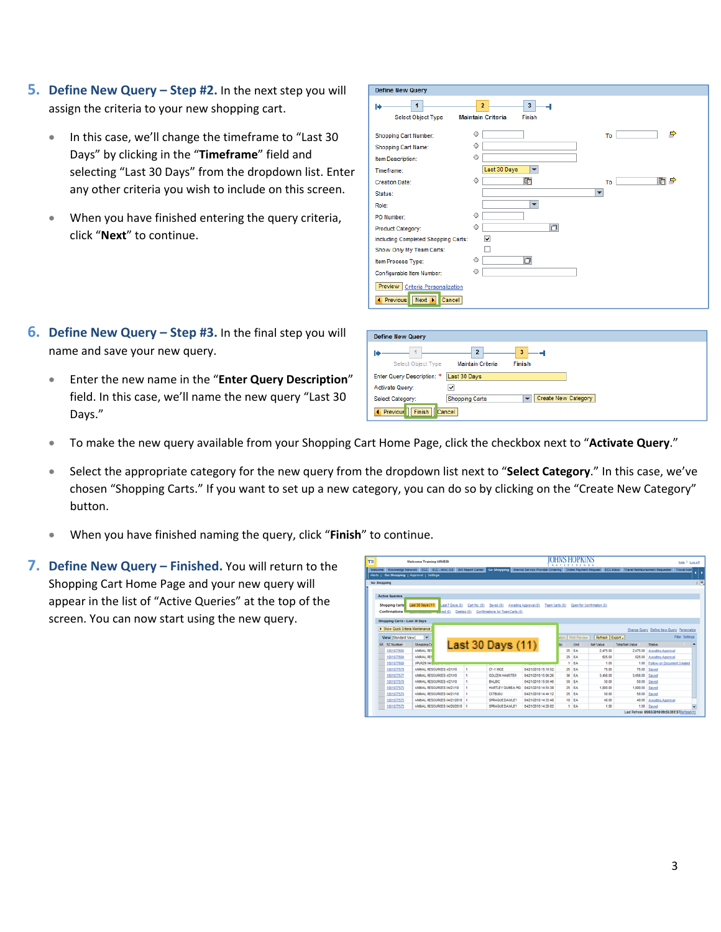- **5. Define New Query – Step #2.** In the next step you will assign the criteria to your new shopping cart.
	- In this case, we'll change the timeframe to "Last 30 Days" by clicking in the "**Timeframe**" field and selecting "Last 30 Days" from the dropdown list. Enter any other criteria you wish to include on this screen.
	- When you have finished entering the query criteria, click "**Next**" to continue.
- **6. Define New Query – Step #3.** In the final step you will name and save your new query.
	- Enter the new name in the "**Enter Query Description**" field. In this case, we'll name the new query "Last 30 Days."

| <b>Define New Query</b>                                                                             |                                                                             |                     |
|-----------------------------------------------------------------------------------------------------|-----------------------------------------------------------------------------|---------------------|
| 1<br>н<br>Select Object Type                                                                        | 3 <sup>7</sup><br>$\overline{2}$<br>پ<br><b>Maintain Criteria</b><br>Finish |                     |
| Shopping Cart Number:                                                                               | ♦                                                                           | $\Rightarrow$<br>To |
| Shopping Cart Name:                                                                                 | ♦                                                                           |                     |
| Item Description:                                                                                   | ♦                                                                           |                     |
| Timeframe:                                                                                          | Last 30 Days<br>$\overline{\phantom{0}}$                                    |                     |
| <b>Creation Date:</b>                                                                               | $\boxed{5}$<br>♦                                                            | 响 ♪<br>To:          |
| Status:                                                                                             |                                                                             | ٠                   |
| Role:                                                                                               | ٠                                                                           |                     |
| PO Number:                                                                                          | ♦                                                                           |                     |
| Product Category:                                                                                   | h<br>♦                                                                      |                     |
| Including Completed Shopping Carts:                                                                 | ▽                                                                           |                     |
| Show Only My Team Carts:                                                                            |                                                                             |                     |
| Item Process Type:                                                                                  | O<br>♦                                                                      |                     |
| Configurable Item Number:                                                                           | ◇                                                                           |                     |
| Preview  <br><b>Criteria Personalization</b><br>$Next$ $\rightarrow$<br><b>4</b> Previous<br>Cancel |                                                                             |                     |

| <b>Define New Query</b>     |                                            |                                          |
|-----------------------------|--------------------------------------------|------------------------------------------|
| Select Object Type          | $\overline{ }$<br><b>Maintain Criteria</b> | $\overline{\mathbf{3}}$<br><b>Finish</b> |
| Enter Query Description: *  | Last 30 Days                               |                                          |
| Activate Query:             | $\overline{\mathbf{v}}$                    |                                          |
| Select Category:            | <b>Shopping Carts</b>                      | Create New Category<br>÷                 |
| Finish<br><b>4</b> Previous | Cancel                                     |                                          |

- To make the new query available from your Shopping Cart Home Page, click the checkbox next to "**Activate Query**."
- Select the appropriate category for the new query from the dropdown list next to "**Select Category**." In this case, we've chosen "Shopping Carts." If you want to set up a new category, you can do so by clicking on the "Create New Category" button.
- When you have finished naming the query, click "**Finish**" to continue.
- **7. Define New Query – Finished.** You will return to the Shopping Cart Home Page and your new query will appear in the list of "Active Queries" at the top of the screen. You can now start using the new query.

|                                   | <b>Welcome Training UPUR29</b>                                                                                                                                                                                             |              |                                  | $\sim$                                     |         |                     | $\mathbf{x}$              |                        | Help   Log.off                            |  |
|-----------------------------------|----------------------------------------------------------------------------------------------------------------------------------------------------------------------------------------------------------------------------|--------------|----------------------------------|--------------------------------------------|---------|---------------------|---------------------------|------------------------|-------------------------------------------|--|
| Alerta I                          | Welcome Knowledge Network ECC ECC - MAC OS BW Report Center Co Shopping Internal Service Provider Ordering Online Payment Request ECC Inbox Travel Reimbursement Requester Travel Adm<br>Go Shopping   Approval   Settings |              |                                  |                                            |         |                     |                           |                        |                                           |  |
| Go Shopping                       |                                                                                                                                                                                                                            |              |                                  |                                            |         |                     |                           |                        |                                           |  |
|                                   |                                                                                                                                                                                                                            |              |                                  |                                            |         |                     |                           |                        |                                           |  |
| <b>Active Queries</b>             |                                                                                                                                                                                                                            |              |                                  |                                            |         |                     |                           |                        |                                           |  |
| <b>Shopping Carts</b>             | Last 30 Days (11)<br>Last 7 Days (0)                                                                                                                                                                                       | Cart No. (0) | Saved (0)                        | Amating Approval (9)<br>Team Carts (9)     |         |                     | Open for Confirmation (0) |                        |                                           |  |
| Confirmations                     | red(0)                                                                                                                                                                                                                     | Deleted (0)  | Confirmations for Team Carts (0) |                                            |         |                     |                           |                        |                                           |  |
|                                   |                                                                                                                                                                                                                            |              |                                  |                                            |         |                     |                           |                        |                                           |  |
| Shopping Carts - Last 30 Days     |                                                                                                                                                                                                                            |              |                                  |                                            |         |                     |                           |                        |                                           |  |
| > Show Quick Criteria Maintenance |                                                                                                                                                                                                                            |              |                                  |                                            |         |                     |                           |                        | Change Query Define New Query Personalize |  |
| View [Standard View]              | $\blacksquare$                                                                                                                                                                                                             |              |                                  |                                            |         | stion Print Preview | Refresh Export .          |                        | <b>Fiter Settings</b>                     |  |
| <b>SC Number</b>                  | Sheeping Ca                                                                                                                                                                                                                |              |                                  |                                            |         | Unit                | <b>Net Value</b>          | <b>Total Net Value</b> | <b>Status</b>                             |  |
| 1001077605                        | <b>ANMAL RES</b>                                                                                                                                                                                                           |              | Last 30 Days (11)                |                                            | 25      | EA                  | 2.475.00                  | 2,475.00               | Amating Approval                          |  |
| 1001077604                        | <b>ANMAL RES</b>                                                                                                                                                                                                           |              |                                  |                                            | 25      | EA                  | 625.00                    | 625.00                 | Amating Approval                          |  |
| 1001077600                        | UPUR29 04/2                                                                                                                                                                                                                |              |                                  |                                            |         | EA                  | 1.00                      | 1.00                   | <b>Egliow.on Document Created</b>         |  |
|                                   |                                                                                                                                                                                                                            |              |                                  |                                            |         |                     |                           |                        |                                           |  |
|                                   |                                                                                                                                                                                                                            |              |                                  |                                            |         |                     |                           |                        |                                           |  |
| 1001077570                        | ANMAL RESOURCES 4/21/10                                                                                                                                                                                                    | ٠            | CE-1 MCE                         | 04/21/2010 15:16:52                        |         | $25$ EA             | 75.00                     | 75.00                  | Saved                                     |  |
| 1001077577                        | ANMAL RESOURCES 4/21/10                                                                                                                                                                                                    | ٠            | <b>GOLDEN HAMSTER</b>            | 04/21/2010 15:06:26                        | $^{56}$ | <b>EA</b>           | 3.456.00                  | 3,456.00               | Saved                                     |  |
| 1001077576                        | ANMAL RESOURCES 4/21/10                                                                                                                                                                                                    | ٠            | BALB/C                           | 04/21/2010 15:00:46                        | 50      | EA                  | 50.00                     | 50.00                  | Stretd                                    |  |
| 1001077575                        | ANMAL RESOURCES 04/21/10                                                                                                                                                                                                   | ٠            | HARTLEY QUINEA PO                | 04/21/2010 14:54:38                        | $^{56}$ | FA                  | 1.800.00                  | 1,800.00               | Saved                                     |  |
| 1001077574                        | ANMAL RESOURCES 04/21/10                                                                                                                                                                                                   | ٠            | <b>CS7RLAU</b>                   | 04/21/2010 14:44:12                        |         | 26 FA               | 50.00                     | 50.00                  | Saved                                     |  |
| 1001077573<br>1001077572          | ANMAL RESOURCES 04/21/2010<br>ANMAL RESOURCES 04/28/2010 1                                                                                                                                                                 |              | SPRAQUE DAWLEY<br>SPRAQUE DAWLEY | 04/21/2010 14:33:48<br>04/21/2010 14:28:02 |         | 10 EA<br>1 EA       | 40.00<br>1.00             | 40.00<br>1.00          | Awaiting Approval<br>Streed               |  |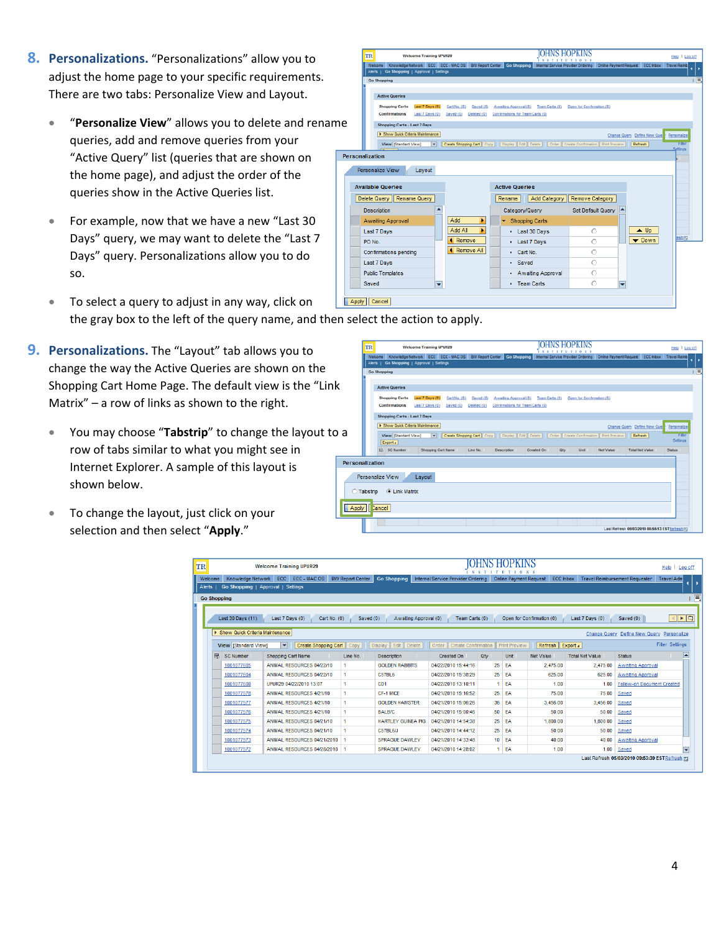- **8. Personalizations.** "Personalizations" allow you to adjust the home page to your specific requirements. There are two tabs: Personalize View and Layout.
	- **•** "Personalize View" allows you to delete and rena queries, add and remove queries from your "Active Query" list (queries that are shown on the home page), and adjust the order of the queries show in the Active Queries list.
	- For example, now that we have a new "Last 30 Days" query, we may want to delete the "Last 7 Days" query. Personalizations allow you to do so.
	- To select a query to adjust in any way, click on the gray box to the left of the query name, and then select the action to apply.
- **9. Personalizations.** The "Layout" tab allows you to change the way the Active Queries are shown on the Shopping Cart Home Page. The default view is the "Link Matrix" – a row of links as shown to the right.
	- You may choose "Tabstrip" to change the layout to row of tabs similar to what you might see in Internet Explorer. A sample of this layout is shown below.
	- To change the layout, just click on your selection and then select "**Apply**."

|     | TR                                             | <b>Welcome Training UPUR29</b> |                           |                                  |                     |                                                                                                                                                          |                              | Help   Log off          |
|-----|------------------------------------------------|--------------------------------|---------------------------|----------------------------------|---------------------|----------------------------------------------------------------------------------------------------------------------------------------------------------|------------------------------|-------------------------|
|     | Alerts   Go Shopping   Approval   Settings     |                                |                           |                                  |                     | Welcome Knowledge Network ECC ECC - MAC OS BW Report Center Go Shopping Internal Service Provider Ordering Online Payment Request ECC Inbox Travel Reimb |                              |                         |
|     | <b>Go Shopping</b>                             |                                |                           |                                  |                     |                                                                                                                                                          |                              |                         |
|     | <b>Active Queries</b><br><b>Shopping Carts</b> | Last 7 Days (0)                | Cart No. (0)<br>Saved (0) |                                  |                     | Awaiting Approval (0) Team Carts (0) Open for Confirmation (0)                                                                                           |                              |                         |
|     | Confirmations                                  | Last 7 Days (0)                | Saved (0)<br>Deleted (0)  | Confirmations for Team Carts (0) |                     |                                                                                                                                                          |                              |                         |
| ame | Shopping Carts - Last 7 Days                   |                                |                           |                                  |                     |                                                                                                                                                          |                              |                         |
|     | F Show Quick Criteria Maintenance              |                                |                           |                                  |                     |                                                                                                                                                          | Change Query Define New Quer | Personalize             |
|     | View [Standard View]                           | $\mathbf{r}$                   |                           |                                  |                     | Create Shopping Cart   Copy     Display   Edit   Delete     Order   Create Confirmation   Print Preview     Refresh                                      |                              | <b>FREE</b><br>Settings |
|     | Personalization                                |                                |                           |                                  |                     |                                                                                                                                                          |                              |                         |
|     |                                                |                                |                           |                                  |                     |                                                                                                                                                          |                              |                         |
|     |                                                |                                |                           |                                  |                     |                                                                                                                                                          |                              |                         |
|     | Personalize View                               | Layout                         |                           |                                  |                     |                                                                                                                                                          |                              |                         |
|     |                                                |                                |                           |                                  |                     |                                                                                                                                                          |                              |                         |
|     | <b>Available Queries</b>                       |                                |                           | <b>Active Queries</b>            |                     |                                                                                                                                                          |                              |                         |
|     | Delete Query   Rename Query                    |                                |                           | Rename                           | <b>Add Category</b> | Remove Category                                                                                                                                          |                              |                         |
|     | <b>Description</b>                             | ◚                              |                           |                                  | Category/Query      | Set Default Query                                                                                                                                        |                              |                         |
|     | <b>Awaiting Approval</b>                       |                                | Add<br>٠                  |                                  | ▼ Shopping Carts    |                                                                                                                                                          |                              |                         |
|     | Last 7 Days                                    |                                | Add All<br>×              |                                  | - Last 30 Days      | ∩                                                                                                                                                        | $\triangle$ Up               |                         |
|     | PO No.                                         |                                | <b>4</b> Remove           |                                  | - Last 7 Days       | Ö                                                                                                                                                        | $\blacktriangledown$ Down    | esh <sub>[2]</sub>      |
|     | Confirmations pending                          |                                | <b>4</b> Remove All       |                                  | - Cart No.          | O                                                                                                                                                        |                              |                         |
|     | Last 7 Days                                    |                                |                           | - Saved                          |                     | Õ                                                                                                                                                        |                              |                         |
|     | <b>Public Templates</b>                        |                                |                           |                                  | - Awaiting Approval | O                                                                                                                                                        |                              |                         |

| TR                     |                                            | <b>Welcome Training UPUR29</b>     |                           |                          |                                                                                                         | $\mathbf{x}$             | <b>IOHNS HOPKINS</b><br>$1-0$ |                  |                                                                                                                                                          | Help   Log off            |  |  |
|------------------------|--------------------------------------------|------------------------------------|---------------------------|--------------------------|---------------------------------------------------------------------------------------------------------|--------------------------|-------------------------------|------------------|----------------------------------------------------------------------------------------------------------------------------------------------------------|---------------------------|--|--|
|                        | Alerts   Go Shopping   Approval   Settings |                                    |                           |                          |                                                                                                         |                          |                               |                  | Welcome Knowledge Network ECC ECC - MAC OS BW Report Center Go Shopping Internal Service Provider Ordering Online Payment Request ECC Inbox Travel Reimb |                           |  |  |
|                        | <b>Go Shopping</b>                         |                                    |                           |                          |                                                                                                         |                          |                               |                  |                                                                                                                                                          |                           |  |  |
|                        | <b>Active Queries</b>                      |                                    |                           |                          |                                                                                                         |                          |                               |                  |                                                                                                                                                          |                           |  |  |
|                        | <b>Shopping Carts</b><br>Confirmations     | Last 7 Days (0)<br>Last 7 Days (0) | Cart No. (0)<br>Saved (0) | Saved (0)<br>Deleted (0) | Awaiting Approval (0)<br>Confirmations for Team Carts (0)                                               | Team Carts (0)           | Open for Confirmation (0)     |                  |                                                                                                                                                          |                           |  |  |
|                        | Shopping Carts - Last 7 Days               |                                    |                           |                          |                                                                                                         |                          |                               |                  |                                                                                                                                                          |                           |  |  |
|                        | E Show Quick Criteria Maintenance          |                                    |                           |                          |                                                                                                         |                          |                               |                  | Change Query Define New Quer                                                                                                                             | Personalize               |  |  |
|                        | View Standard View1<br>Export a            |                                    | $\mathbf{v}$              |                          | Create Shopping Cart   Copy     Display   Edit   Delete     Order   Create Confirmation   Print Preview |                          |                               |                  | Refresh                                                                                                                                                  | <b>Filter</b><br>Settings |  |  |
|                        | R. SC Number                               |                                    | Shopping Cart Name        | Line No.                 | Description                                                                                             | Created On<br><b>Otv</b> | Unit                          | <b>Net Value</b> | <b>Total Net Value</b>                                                                                                                                   | <b>Status</b>             |  |  |
| <b>Personalization</b> |                                            |                                    |                           |                          |                                                                                                         |                          |                               |                  |                                                                                                                                                          |                           |  |  |
|                        | Personalize View                           | Layout                             |                           |                          |                                                                                                         |                          |                               |                  |                                                                                                                                                          |                           |  |  |
| <b>C</b> Tabstrip      | C Link Matrix                              |                                    |                           |                          |                                                                                                         |                          |                               |                  |                                                                                                                                                          |                           |  |  |
| Apply Lancel           |                                            |                                    |                           |                          |                                                                                                         |                          |                               |                  |                                                                                                                                                          |                           |  |  |
|                        |                                            |                                    |                           |                          |                                                                                                         |                          |                               |                  | Last Refresh 05/03/2010 08:55:13 EST Refresh 03                                                                                                          |                           |  |  |

|                                        | <b>Welcome Training UPUR29</b>                            |                         |                                              |                                     | UHNS |                               |                           |                        | Help<br>Log off                                            |
|----------------------------------------|-----------------------------------------------------------|-------------------------|----------------------------------------------|-------------------------------------|------|-------------------------------|---------------------------|------------------------|------------------------------------------------------------|
| Knowledge Network<br>Welcome<br>Alerts | ECC.<br>ECC - MAC OS<br>Go Shopping   Approval   Settings | <b>BW Report Center</b> | <b>Go Shopping</b>                           | Internal Service Provider Ordering  |      | <b>Online Payment Request</b> | <b>ECC Inbox</b>          |                        | <b>Travel Reimbursement Requester</b><br><b>Travel Adn</b> |
| <b>Go Shopping</b>                     |                                                           |                         |                                              |                                     |      |                               |                           |                        |                                                            |
| Last 30 Days (11)                      | Last 7 Days (0)<br>Cart No. (0)                           | Saved (0)               | Awaiting Approval (0)                        | Team Carts (0)                      |      |                               | Open for Confirmation (0) | Last 7 Days (0)        | $\mathbb{E}[\mathbb{R}^d]$<br>Saved (0)                    |
| Show Quick Criteria Maintenance        |                                                           |                         |                                              |                                     |      |                               |                           |                        | Change Query Define New Query Personalize                  |
| View Standard View1                    | $\overline{\phantom{a}}$<br>Create Shopping Cart          | Copy                    | Edit<br>$\parallel$ Delete<br><b>Display</b> | <b>Create Confirmation</b><br>Order |      | <b>Print Preview</b>          | Refresh <sup>II</sup>     | Export 4               | <b>Filter Settings</b>                                     |
| <b>R</b><br><b>SC Number</b>           | <b>Shopping Cart Name</b>                                 | Line No.                | <b>Description</b>                           | Created On                          | Qtv  | Unit                          | Net Value                 | <b>Total Net Value</b> | <b>Status</b>                                              |
|                                        |                                                           |                         |                                              |                                     |      |                               |                           |                        |                                                            |
| 1001077605                             | ANIMAL RESOURCES 04/22/10                                 | -1                      | <b>GOI DEN RABBITS</b>                       | 04/22/2010 15:44:16                 | 25   | <b>EA</b>                     | 2.475.00                  | 2.475.00               | Awaiting Approval                                          |
| 1001077604                             | ANIMAL RESOURCES 04/22/10                                 | 1                       | C57BL6                                       | 04/22/2010 15:38:29                 | 25   | -EA                           | 625.00                    | 625.00                 | <b>Awaiting Approval</b>                                   |
| 1001077600                             | UPUR29 04/22/2010 13:07                                   | -1                      | CD1                                          | 04/22/2010 13:10:11                 | 1.   | <b>FA</b>                     | 100                       | 1.00                   | <b>Follow-on Document Created</b>                          |
| 1001077578                             | ANIMAL RESOURCES 4/21/10                                  | 1.                      | CF-1 MICF                                    | 04/21/2010 15:16:52                 | 25   | <b>EA</b>                     | 75.00                     | 75.00                  | Saved                                                      |
| 1001077577                             | ANIMAL RESOURCES 4/21/10                                  | 1                       | <b>GOLDEN HAMSTER</b>                        | 04/21/2010 15:06:26                 | 36   | <b>EA</b>                     | 3.456.00                  | 3.456.00               | Saved                                                      |
| 1001077576                             | ANIMAL RESOURCES 4/21/10                                  |                         | <b>BALBIC</b>                                | 04/21/2010 15:00:46                 | 50   | <b>FA</b>                     | 50.00                     | 50.00                  | Saved                                                      |
| 1001077575                             | ANIMAL RESOURCES 04/21/10                                 |                         | HARTLEY GUINEA PIG.                          | 04/21/2010 14:54:38                 | 25   | <b>EA</b>                     | 1.800.00                  | 1.800.00               | Saved                                                      |
| 1001077574                             | ANIMAL RESOURCES 04/21/10                                 | -1                      | C57BL6/J                                     | 04/21/2010 14:44:12                 | 25   | <b>EA</b>                     | 50.00                     | 50.00                  | Saved                                                      |
| 1001077573                             | ANIMAL RESOURCES 04/21/2010                               |                         | <b>SPRAGUE DAWLEY</b>                        | 04/21/2010 14:33:48                 |      | $10$ EA                       | 40.00                     | 40.00                  | Awaiting Approval                                          |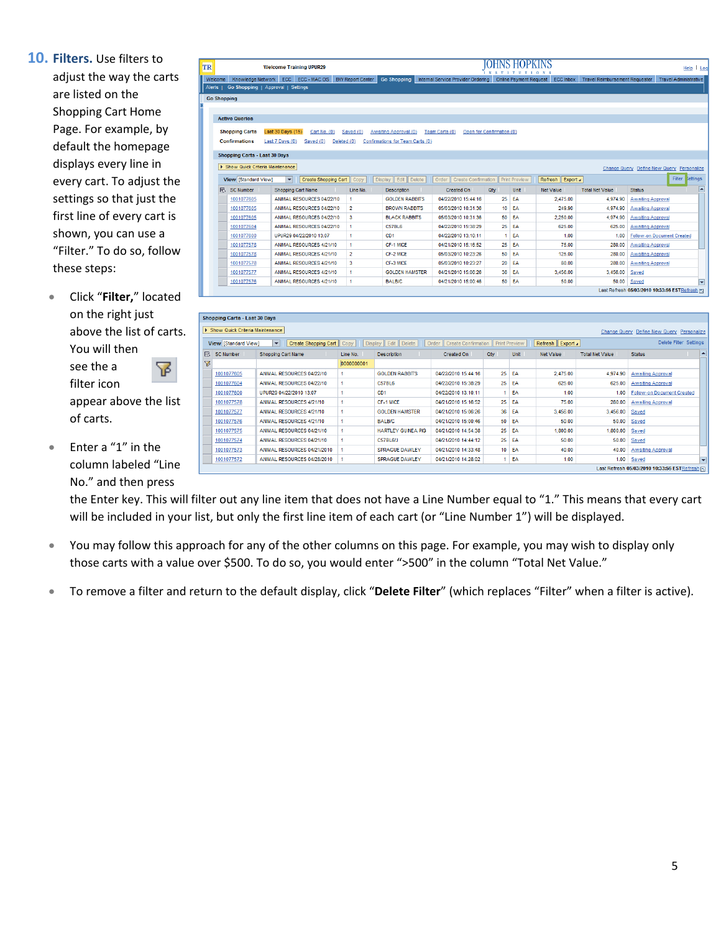**10. Filters.** Use filters to adjust the way the carts are listed on the Shopping Cart Home Page. For example, by default the homepage displays every line in every cart. To adjust the settings so that just the first line of every cart is shown, you can use a "Filter." To do so, follow these steps:

- Click "**Filter,**" located on the right just above the list of carts. You will then see the a 幂 filter icon appear above the list of carts.
- Enter a "1" in the column labeled "Line No." and then press

| TR                                   | <b>Welcome Training UPUR29</b>                      |                         |                                  |                                              | OHNS HO<br>INST           |                        |                  |                                       |                                           | Help   Log |
|--------------------------------------|-----------------------------------------------------|-------------------------|----------------------------------|----------------------------------------------|---------------------------|------------------------|------------------|---------------------------------------|-------------------------------------------|------------|
| Welcome                              | Knowledge Network ECC ECC - MAC OS                  | <b>BW Report Center</b> | <b>Go Shopping</b>               | Internal Service Provider Ordering           |                           | Online Payment Request | <b>ECC Inbox</b> | <b>Travel Reimbursement Requester</b> | <b>Travel Administrative</b>              |            |
| Alerts I                             | Go Shopping   Approval   Settings                   |                         |                                  |                                              |                           |                        |                  |                                       |                                           |            |
| <b>Go Shopping</b>                   |                                                     |                         |                                  |                                              |                           |                        |                  |                                       |                                           |            |
|                                      |                                                     |                         |                                  |                                              |                           |                        |                  |                                       |                                           |            |
| <b>Active Queries</b>                |                                                     |                         |                                  |                                              |                           |                        |                  |                                       |                                           |            |
|                                      |                                                     |                         |                                  |                                              |                           |                        |                  |                                       |                                           |            |
| <b>Shopping Carts</b>                | Last 30 Days (15)<br>Cart No. (0)                   | Saved (0)               | Awaiting Approval (0)            | Team Carts (0)                               | Open for Confirmation (0) |                        |                  |                                       |                                           |            |
| <b>Confirmations</b>                 | Last 7 Days (0)<br>Saved (0)<br>Deleted (0)         |                         | Confirmations for Team Carts (0) |                                              |                           |                        |                  |                                       |                                           |            |
| <b>Shopping Carts - Last 30 Days</b> |                                                     |                         |                                  |                                              |                           |                        |                  |                                       |                                           |            |
| Show Quick Criteria Maintenance      |                                                     |                         |                                  |                                              |                           |                        |                  |                                       |                                           |            |
|                                      |                                                     |                         |                                  |                                              |                           |                        |                  |                                       | Change Query Define New Query Personalize |            |
| <b>View [Standard View]</b>          | $\blacktriangledown$<br>Create Shopping Cart   Copy |                         | Display Edit Delete              | Create Confirmation   Print Preview<br>Order |                           |                        | Refresh Export 4 |                                       | Filter lettings                           |            |
| <b>R</b> SC Number                   | <b>Shopping Cart Name</b>                           | Line No.                | <b>Description</b>               | Created On                                   | Qty                       | Unit                   | <b>Net Value</b> | <b>Total Net Value</b>                | <b>Status</b>                             | ∣▲         |
| 1001077605                           | ANIMAL RESOURCES 04/22/10                           | $\blacksquare$          | <b>GOLDEN RABBITS</b>            | 04/22/2010 15:44:16                          | 25                        | EA                     | 2.475.00         | 4.974.90                              | <b>Awaiting Approval</b>                  |            |
| 1001077605                           | ANIMAL RESOURCES 04/22/10                           | $\overline{2}$          | <b>BROWN RABBITS</b>             | 05/03/2010 10:31:36                          | 10 <sup>1</sup>           | EA                     | 249.90           | 4,974.90                              | <b>Awaiting Approval</b>                  |            |
| 1001077605                           | ANIMAL RESOURCES 04/22/10                           | 3                       | <b>BLACK RABBITS</b>             | 05/03/2010 10:31:36                          |                           | 50 EA                  | 2.250.00         | 4.974.90                              | <b>Awaiting Approval</b>                  |            |
| 1001077604                           | ANIMAL RESOURCES 04/22/10                           | 1                       | <b>C57BL6</b>                    | 04/22/2010 15:38:29                          |                           | 25 FA                  | 625.00           | 625.00                                | Awaiting Approval                         |            |
| 1001077600                           | UPUR29 04/22/2010 13:07                             | $\mathbf{1}$            | CD <sub>1</sub>                  | 04/22/2010 13:10:11                          | $\blacktriangleleft$      | EA                     | 1.00             | 1.00                                  | <b>Follow-on Document Created</b>         |            |
|                                      | ANIMAL RESOURCES 4/21/10                            | $\mathbf{1}$            | CF-1 MICE                        |                                              | 25                        | EA                     | 75.00            | 280.00                                | <b>Awaiting Approval</b>                  |            |
| 1001077578                           |                                                     |                         |                                  | 04/21/2010 15:16:52                          |                           |                        |                  |                                       |                                           |            |
| 1001077578                           | ANIMAL RESOURCES 4/21/10                            | $\overline{2}$          | CF-2 MICE                        | 05/03/2010 10:23:26                          |                           | 50 EA                  | 125.00           | 280.00                                | <b>Awaiting Approval</b>                  |            |
| 1001077578                           | ANIMAL RESOURCES 4/21/10                            | $\mathbf{3}$            | CF-3 MICF                        | 05/03/2010 10:23:27                          |                           | 20 FA                  | 80.00            | 280.00                                | Awaiting Approval                         |            |
| 1001077577                           | ANIMAL RESOURCES 4/21/10                            | $\mathbf{1}$            | <b>GOLDEN HAMSTER</b>            | 04/21/2010 15:06:26                          | 36                        | EA                     | 3,456.00         | 3.456.00                              | Saved                                     |            |
| 1001077576                           | ANIMAL RESOURCES 4/21/10                            | $\blacksquare$          | <b>BALB/C</b>                    | 04/21/2010 15:00:46                          |                           | 50 EA                  | 50.00            | 50.00                                 | Saved                                     | ≂          |

|   | <b>Shopping Carts - Last 30 Days</b> |                                                  |                        |                       |                                     |                         |      |                |                        |                                                |               |
|---|--------------------------------------|--------------------------------------------------|------------------------|-----------------------|-------------------------------------|-------------------------|------|----------------|------------------------|------------------------------------------------|---------------|
|   | > Show Quick Criteria Maintenance    |                                                  |                        |                       |                                     |                         |      |                |                        | Change Query Define New Query Personalize      |               |
|   | View [Standard View]                 | Create Shopping Cart<br>$\overline{\phantom{0}}$ | Copy<br><b>Display</b> | Edit   Delete         | <b>Create Confirmation</b><br>Order | <b>Il Print Preview</b> |      | Refresh Export |                        | Delete Filter Settings                         |               |
| 昆 | <b>SC Number</b>                     | <b>Shopping Cart Name</b>                        | Line No.               | <b>Description</b>    | <b>Created On</b>                   | Qty                     | Unit | Net Value      | <b>Total Net Value</b> | <b>Status</b>                                  | E             |
| ∇ |                                      |                                                  | b000000001             |                       |                                     |                         |      |                |                        |                                                |               |
|   | 1001077605                           | ANIMAL RESOURCES 04/22/10                        |                        | <b>GOLDEN RABBITS</b> | 04/22/2010 15:44:16                 | 25                      | EA   | 2,475.00       | 4,974.90               | <b>Awaiting Approval</b>                       |               |
|   | 1001077604                           | ANIMAL RESOURCES 04/22/10                        |                        | C57BL6                | 04/22/2010 15:38:29                 | 25                      | EA   | 625.00         | 625.00                 | <b>Awaiting Approval</b>                       |               |
|   | 1001077600                           | UPUR29 04/22/2010 13:07                          |                        | CD1                   | 04/22/2010 13:10:11                 |                         | EA   | 1.00           | 1.00                   | <b>Follow-on Document Created</b>              |               |
|   | 1001077578                           | ANIMAL RESOURCES 4/21/10                         |                        | CF-1 MICF             | 04/21/2010 15:16:52                 | 25                      | EA   | 75.00          | 280.00                 | Awaiting Approval                              |               |
|   | 1001077577                           | ANIMAL RESOURCES 4/21/10                         |                        | <b>GOLDEN HAMSTER</b> | 04/21/2010 15:06:26                 | 36                      | EA   | 3,456.00       | 3,456.00               | Saved                                          |               |
|   | 1001077576                           | ANIMAL RESOURCES 4/21/10                         |                        | <b>BALB/C</b>         | 04/21/2010 15:00:46                 | 50                      | EA   | 50.00          | 50.00                  | Saved                                          |               |
|   | 1001077575                           | ANIMAL RESOURCES 04/21/10                        |                        | HARTLEY GUINEA PIG    | 04/21/2010 14:54:38                 | 25                      | EA   | 1,800.00       | 1,800.00               | Saved                                          |               |
|   | 1001077574                           | ANIMAL RESOURCES 04/21/10                        |                        | C57BL6/J              | 04/21/2010 14:44:12                 | 25                      | EA   | 50.00          | 50.00                  | Saved                                          |               |
|   | 1001077573                           | ANIMAL RESOURCES 04/21/2010                      |                        | <b>SPRAGUE DAWLEY</b> | 04/21/2010 14:33:48                 | 10                      | EA   | 40.00          | 40.00                  | <b>Awaiting Approval</b>                       |               |
|   | 1001077572                           | ANIMAL RESOURCES 04/28/2010                      |                        | <b>SPRAGUE DAWLEY</b> | 04/21/2010 14:28:02                 |                         | EA   | 1.00           | 1.00                   | Saved                                          | $\overline{}$ |
|   |                                      |                                                  |                        |                       |                                     |                         |      |                |                        | Last Refresh 05/03/2010 10:33:56 EST Refresh 同 |               |

the Enter key. This will filter out any line item that does not have a Line Number equal to "1." This means that every cart will be included in your list, but only the first line item of each cart (or "Line Number 1") will be displayed.

- You may follow this approach for any of the other columns on this page. For example, you may wish to display only those carts with a value over \$500. To do so, you would enter ">500" in the column "Total Net Value."
- To remove a filter and return to the default display, click "**Delete Filter**" (which replaces "Filter" when a filter is active).